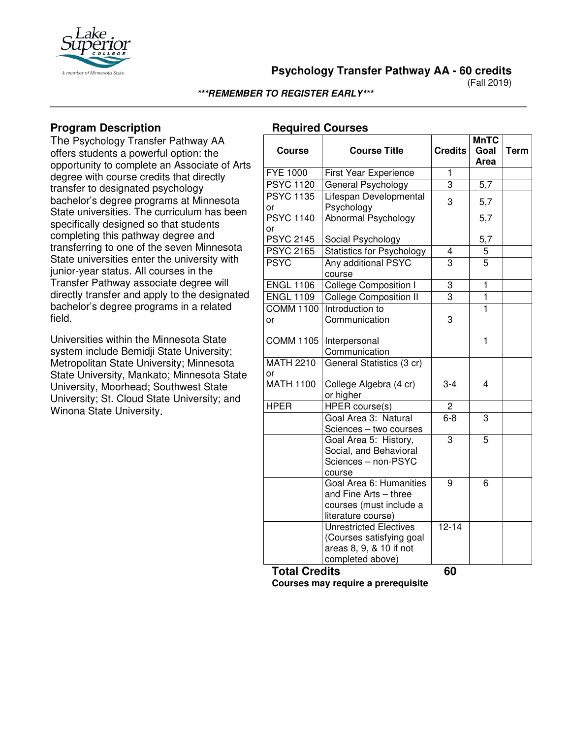

**Psychology Transfer Pathway AA - 60 credits**

(Fall 2019)

#### **\*\*\*REMEMBER TO REGISTER EARLY\*\*\***

## **Program Description**

The Psychology Transfer Pathway AA offers students a powerful option: the opportunity to complete an Associate of Arts degree with course credits that directly transfer to designated psychology bachelor's degree programs at Minnesota State universities. The curriculum has been specifically designed so that students completing this pathway degree and transferring to one of the seven Minnesota State universities enter the university with junior-year status. All courses in the Transfer Pathway associate degree will directly transfer and apply to the designated bachelor's degree programs in a related field.

Universities within the Minnesota State system include Bemidji State University; Metropolitan State University; Minnesota State University, Mankato; Minnesota State University, Moorhead; Southwest State University; St. Cloud State University; and Winona State University.

### **Required Courses**

| <b>Course</b>          | <b>Course Title</b>                                                                                      | <b>Credits</b> | <b>MnTC</b><br>Goal<br>Area | <b>Term</b> |
|------------------------|----------------------------------------------------------------------------------------------------------|----------------|-----------------------------|-------------|
| <b>FYE 1000</b>        | First Year Experience                                                                                    | $\overline{1}$ |                             |             |
| <b>PSYC 1120</b>       | General Psychology                                                                                       | 3              | 5,7                         |             |
| <b>PSYC 1135</b><br>or | Lifespan Developmental<br>Psychology                                                                     | 3              | 5,7                         |             |
| <b>PSYC 1140</b><br>or | Abnormal Psychology                                                                                      |                | 5,7                         |             |
| <b>PSYC 2145</b>       | Social Psychology                                                                                        |                | 5,7                         |             |
| <b>PSYC 2165</b>       | <b>Statistics for Psychology</b>                                                                         | 4              | 5                           |             |
| <b>PSYC</b>            | Any additional PSYC<br>course                                                                            | $\overline{3}$ | $\overline{5}$              |             |
| <b>ENGL 1106</b>       | <b>College Composition I</b>                                                                             | 3              | $\overline{1}$              |             |
| <b>ENGL 1109</b>       | <b>College Composition II</b>                                                                            | $\overline{3}$ | $\overline{1}$              |             |
| <b>COMM 1100</b>       | Introduction to                                                                                          |                | $\overline{1}$              |             |
| or                     | Communication                                                                                            | 3              |                             |             |
| <b>COMM 1105</b>       | Interpersonal<br>Communication                                                                           |                | 1                           |             |
| <b>MATH 2210</b>       | General Statistics (3 cr)                                                                                |                |                             |             |
| or                     |                                                                                                          |                |                             |             |
| <b>MATH 1100</b>       | College Algebra (4 cr)<br>or higher                                                                      | $3 - 4$        | 4                           |             |
| <b>HPER</b>            | HPER course(s)                                                                                           | $\overline{2}$ |                             |             |
|                        | Goal Area 3: Natural<br>Sciences - two courses                                                           | $6 - 8$        | 3                           |             |
|                        | Goal Area 5: History,<br>Social, and Behavioral<br>Sciences - non-PSYC<br>course                         | 3              | 5                           |             |
|                        | Goal Area 6: Humanities<br>and Fine Arts - three<br>courses (must include a<br>literature course)        | 9              | 6                           |             |
|                        | <b>Unrestricted Electives</b><br>(Courses satisfying goal<br>areas 8, 9, & 10 if not<br>completed above) | $12 - 14$      |                             |             |
| $T$ atal $\Omega$      | <b>Jita</b>                                                                                              | c٨             |                             |             |

**Total Credits 60**

**Courses may require a prerequisite**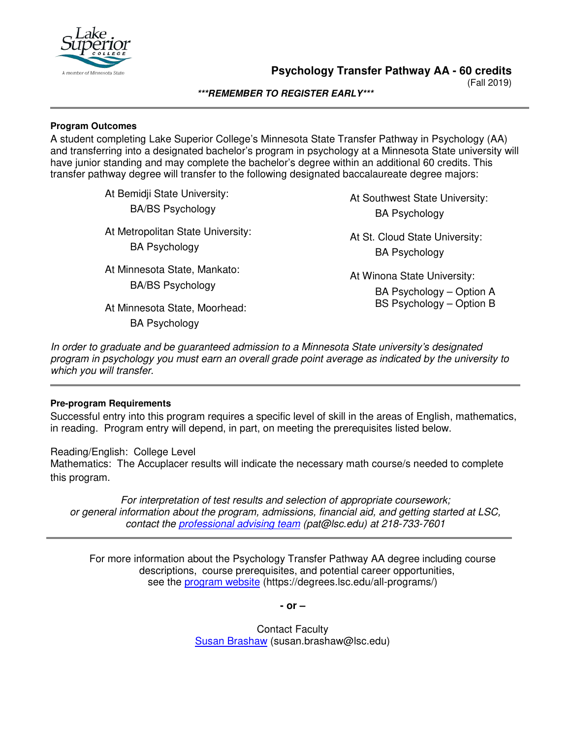

(Fall 2019)

**\*\*\*REMEMBER TO REGISTER EARLY\*\*\***

#### **Program Outcomes**

A student completing Lake Superior College's Minnesota State Transfer Pathway in Psychology (AA) and transferring into a designated bachelor's program in psychology at a Minnesota State university will have junior standing and may complete the bachelor's degree within an additional 60 credits. This transfer pathway degree will transfer to the following designated baccalaureate degree majors:

> At Bemidji State University: BA/BS Psychology At Metropolitan State University: BA Psychology At Minnesota State, Mankato: BA/BS Psychology At Minnesota State, Moorhead: BA Psychology

At Southwest State University: BA Psychology

At St. Cloud State University: BA Psychology

At Winona State University: BA Psychology – Option A BS Psychology – Option B

*In order to graduate and be guaranteed admission to a Minnesota State university's designated program in psychology you must earn an overall grade point average as indicated by the university to which you will transfer.*

### **Pre-program Requirements**

Successful entry into this program requires a specific level of skill in the areas of English, mathematics, in reading. Program entry will depend, in part, on meeting the prerequisites listed below.

Reading/English: College Level Mathematics: The Accuplacer results will indicate the necessary math course/s needed to complete this program.

*For interpretation of test results and selection of appropriate coursework; or general information about the program, admissions, financial aid, and getting started at LSC, contact the professional advising team (pat@lsc.edu) at 218-733-7601*

For more information about the Psychology Transfer Pathway AA degree including course descriptions, course prerequisites, and potential career opportunities, see the program website (https://degrees.lsc.edu/all-programs/)

**- or –** 

Contact Faculty Susan Brashaw (susan.brashaw@lsc.edu)